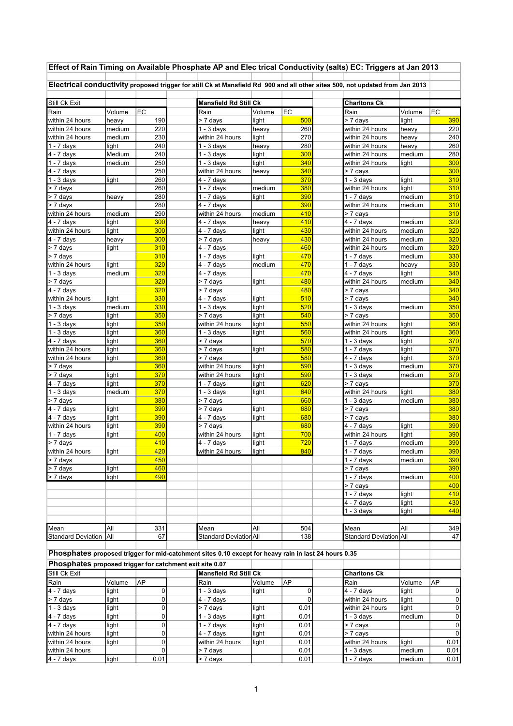| Effect of Rain Timing on Available Phosphate AP and Elec trical Conductivity (salts) EC: Triggers at Jan 2013                |                |                |  |                              |                |             |  |                               |        |            |  |
|------------------------------------------------------------------------------------------------------------------------------|----------------|----------------|--|------------------------------|----------------|-------------|--|-------------------------------|--------|------------|--|
| Electrical conductivity proposed trigger for still Ck at Mansfield Rd 900 and all other sites 500, not updated from Jan 2013 |                |                |  |                              |                |             |  |                               |        |            |  |
| Still Ck Exit                                                                                                                |                |                |  | <b>Mansfield Rd Still Ck</b> |                |             |  | <b>Charltons Ck</b>           |        |            |  |
| Rain                                                                                                                         | Volume         | EC             |  | Rain                         | Volume         | EC          |  | Rain                          | Volume | EC         |  |
| within 24 hours                                                                                                              | heavy          | 190            |  | > 7 days                     | light          | 500         |  | $\frac{1}{2}$ days            | light  | 390        |  |
| within 24 hours                                                                                                              | medium         | 220            |  | $1 - 3$ days                 | heavy          | 260         |  | within 24 hours               | heavy  | 220        |  |
| within 24 hours                                                                                                              | medium         | 230            |  | within 24 hours              | light          | 270         |  | within 24 hours               | heavy  | 240        |  |
| 1 - 7 days                                                                                                                   | light          | 240            |  | $1 - 3$ days                 | heavy          | 280         |  | within 24 hours               | heavy  | 260        |  |
| 4 - 7 days                                                                                                                   | Medium         | 240            |  | $1 - 3$ days                 | light          | 300         |  | within 24 hours               | medium | 280        |  |
| $1 - 7$ days                                                                                                                 | medium         | 250            |  | $\overline{1}$ - 3 days      | light          | 340         |  | within 24 hours               | light  | 300        |  |
| 4 - 7 days                                                                                                                   |                | 250            |  | within 24 hours              | heavy          | 340         |  | > 7 days                      |        | 300        |  |
| $\overline{1}$ - 3 days                                                                                                      | light          | 260            |  | $\overline{4}$ - 7 days      |                | 370         |  | $1 - 3$ days                  | light  | 310        |  |
| > 7 days                                                                                                                     |                | 260            |  | $1 - 7$ days                 | medium         | 380         |  | within 24 hours               | light  | 310        |  |
| > 7 days                                                                                                                     | heavy          | 280<br>280     |  | $1 - 7$ days<br>$4 - 7$ days | light          | 390<br>390  |  | $1 - 7$ days                  | medium | 310<br>310 |  |
| > 7 days<br>within 24 hours                                                                                                  | medium         | 290            |  | within 24 hours              | medium         | 410         |  | within 24 hours<br>$> 7$ days | medium | 310        |  |
| 4 - 7 days                                                                                                                   | light          | 300            |  | 4 - 7 days                   |                | 410         |  | $4 - 7$ days                  | medium | 320        |  |
| within 24 hours                                                                                                              | light          | 300            |  | $\overline{4}$ - 7 days      | heavy<br>light | 430         |  | within 24 hours               | medium | 320        |  |
| 4 - 7 days                                                                                                                   | heavy          | 300            |  | > 7 days                     | heavy          | 430         |  | within 24 hours               | medium | 320        |  |
| > 7 days                                                                                                                     | light          | 310            |  | 4 - 7 days                   |                | 460         |  | within 24 hours               | medium | 320        |  |
| > 7 days                                                                                                                     |                | 310            |  | $1 - 7$ days                 | light          | 470         |  | $\sqrt{1}$ - 7 days           | medium | 330        |  |
| within 24 hours                                                                                                              | light          | 320            |  | $4 - 7$ days                 | medium         | 470         |  | 1 - 7 days                    | heavy  | 330        |  |
| $1 - 3$ days                                                                                                                 | medium         | 320            |  | $\overline{4}$ - 7 days      |                | 470         |  | $4 - 7$ days                  | light  | 340        |  |
| > 7 days                                                                                                                     |                | 320            |  | > 7 days                     | light          | 480         |  | within 24 hours               | medium | 340        |  |
| 4 - 7 days                                                                                                                   |                | 320            |  | > 7 days                     |                | 480         |  | > 7 days                      |        | 340        |  |
| within 24 hours                                                                                                              | light          | 330            |  | $4 - 7$ days                 | light          | 510         |  | > 7 days                      |        | 340        |  |
| $1 - 3$ days                                                                                                                 | medium         | 330            |  | $1 - 3$ days                 | light          | 520         |  | $1 - 3$ days                  | medium | 350        |  |
| > 7 days                                                                                                                     | light          | 350            |  | > 7 days                     | light          | 540         |  | > 7 days                      |        | 350        |  |
| $1 - 3$ days                                                                                                                 | light          | 350            |  | within 24 hours              | light          | 550         |  | within 24 hours               | light  | 360        |  |
| $1 - 3$ days                                                                                                                 | light          | 360            |  | $\overline{1}$ - 3 days      | light          | 560         |  | within 24 hours               | light  | 360        |  |
| 4 - 7 days                                                                                                                   | light          | 360            |  | > 7 days                     |                | 570         |  | $1 - 3$ days                  | light  | 370        |  |
| within 24 hours                                                                                                              | light          | 360            |  | > 7 days                     | light          | 580         |  | $1 - 7$ days                  | light  | 370        |  |
| within 24 hours                                                                                                              | light          | 360            |  | > 7 days                     |                | 580         |  | 4 - 7 days                    | light  | 370        |  |
| > 7 days                                                                                                                     |                | 360            |  | within 24 hours              | light          | 590         |  | $1 - 3$ days                  | medium | 370        |  |
| > 7 days                                                                                                                     | light          | 370            |  | within 24 hours              | light          | 590         |  | $1 - 3$ days                  | medium | 370        |  |
| $\overline{4}$ - 7 days                                                                                                      | light          | 370            |  | $1 - 7$ days                 | light          | 620         |  | > 7 days                      |        | 370        |  |
| $\overline{1}$ - 3 days                                                                                                      | medium         | 370            |  | $1 - 3$ days                 | light          | 640         |  | within 24 hours               | light  | 380        |  |
| > 7 days                                                                                                                     |                | 380            |  | > 7 days                     |                | 660         |  | $1 - 3$ days                  | medium | 380        |  |
| 4 - 7 days<br>$\overline{4}$ - 7 days                                                                                        | light<br>light | 390<br>390     |  | > 7 days<br>4 - 7 days       | light<br>light | 680<br>680  |  | > 7 days<br>> 7 days          |        | 380<br>380 |  |
| within 24 hours                                                                                                              | light          | 390            |  | > 7 days                     |                | 680         |  | $\overline{4 - 7}$ days       | light  | 390        |  |
| 1 - 7 days                                                                                                                   | light          | 400            |  | within 24 hours              | light          | 700         |  | within 24 hours               | light  | 390        |  |
| > 7 days                                                                                                                     |                | 410            |  | $4 - 7$ days                 | light          | 720         |  | $1 - 7$ days                  | medium | 390        |  |
| within 24 hours                                                                                                              | light          | 420            |  | within 24 hours              | light          | 840         |  | 1 - 7 days                    | medium | <b>390</b> |  |
| > 7 days                                                                                                                     |                | 450            |  |                              |                |             |  | $1 - 7$ days                  | medium | 390        |  |
| > 7 days                                                                                                                     | light          | 460            |  |                              |                |             |  | $> 7$ days                    |        | 390        |  |
| > 7 days                                                                                                                     | light          | 490            |  |                              |                |             |  | $1 - 7$ days                  | medium | 400        |  |
|                                                                                                                              |                |                |  |                              |                |             |  | > 7 days                      |        | 400        |  |
|                                                                                                                              |                |                |  |                              |                |             |  | $1 - 7$ days                  | light  | 410        |  |
|                                                                                                                              |                |                |  |                              |                |             |  | $4 - 7$ days                  | light  | 430        |  |
|                                                                                                                              |                |                |  |                              |                |             |  | $1 - 3$ days                  | light  | 440        |  |
|                                                                                                                              |                |                |  |                              |                |             |  |                               |        |            |  |
| Mean                                                                                                                         | All            | 331            |  | Mean                         | All            | 504         |  | Mean                          | All    | 349        |  |
| Standard Deviation All                                                                                                       |                | 67             |  | Standard Deviation All       |                | 138         |  | Standard Deviation All        |        | 47         |  |
|                                                                                                                              |                |                |  |                              |                |             |  |                               |        |            |  |
| Phosphates proposed trigger for mid-catchment sites 0.10 except for heavy rain in last 24 hours 0.35                         |                |                |  |                              |                |             |  |                               |        |            |  |
| Phosphates proposed trigger for catchment exit site 0.07                                                                     |                |                |  |                              |                |             |  |                               |        |            |  |
| Still Ck Exit                                                                                                                |                |                |  | <b>Mansfield Rd Still Ck</b> |                |             |  | <b>Charltons Ck</b>           |        |            |  |
| Rain                                                                                                                         | Volume         | AP             |  | Rain                         | Volume         | AP          |  | Rain                          | Volume | <b>AP</b>  |  |
| 4 - 7 days                                                                                                                   | light          | $\overline{0}$ |  | $1 - 3$ days                 | light          | 0           |  | $4 - 7$ days                  | light  | 0          |  |
| > 7 days                                                                                                                     | light          | $\overline{0}$ |  | 4 - 7 days                   |                | $\mathbf 0$ |  | within 24 hours               | light  | $\pmb{0}$  |  |
| $1 - 3$ days                                                                                                                 | light          | $\overline{0}$ |  | > 7 days                     | light          | 0.01        |  | within 24 hours               | light  | 0          |  |
| 4 - 7 days                                                                                                                   | light          | 0              |  | $1 - 3$ days                 | light          | 0.01        |  | $1 - 3$ days                  | medium | 0          |  |
| 4 - 7 days                                                                                                                   | light          | 0              |  | 1 - 7 days                   | light          | 0.01        |  | > 7 days                      |        | $\pmb{0}$  |  |
| within 24 hours                                                                                                              | light          | $\pmb{0}$      |  | $\overline{4}$ - 7 days      | light          | 0.01        |  | $> 7$ days                    |        | 0          |  |
| within 24 hours                                                                                                              | light          | $\overline{0}$ |  | within 24 hours              | light          | 0.01        |  | within 24 hours               | light  | 0.01       |  |
| within 24 hours                                                                                                              |                | $\mathbf 0$    |  | > 7 days                     |                | 0.01        |  | $1 - 3$ days                  | medium | 0.01       |  |
| 4 - 7 days                                                                                                                   | light          | 0.01           |  | > 7 days                     |                | 0.01        |  | $\sqrt{1}$ - 7 days           | medium | 0.01       |  |